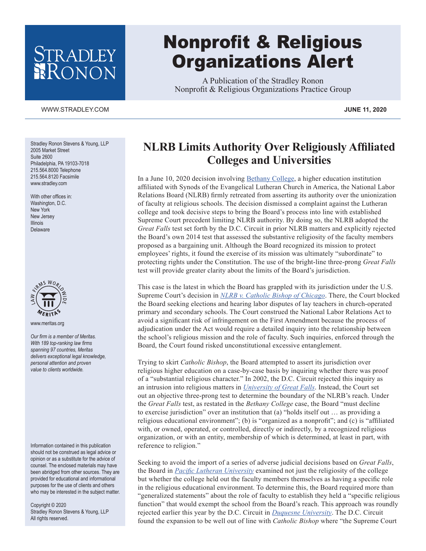## RADLEY RONON

## WWW.STRADLEY.COM **JUNE 11, 2020**

Stradley Ronon Stevens & Young, LLP 2005 Market Street Suite 2600 Philadelphia, PA 19103-7018 215.564.8000 Telephone 215.564.8120 Facsimile www.stradley.com

With other offices in: Washington, D.C. New York New Jersey Illinois Delaware



www.meritas.org

*Our firm is a member of Meritas. With 189 top-ranking law firms spanning 97 countries, Meritas delivers exceptional legal knowledge, personal attention and proven value to clients worldwide.*

Information contained in this publication should not be construed as legal advice or opinion or as a substitute for the advice of counsel. The enclosed materials may have been abridged from other sources. They are provided for educational and informational purposes for the use of clients and others who may be interested in the subject matter.

Copyright © 2020 Stradley Ronon Stevens & Young, LLP All rights reserved.

## Nonprofit & Religious Organizations Alert

A Publication of the Stradley Ronon Nonprofit & Religious Organizations Practice Group

## **NLRB Limits Authority Over Religiously Affiliated Colleges and Universities**

In a June 10, 2020 decision involving [Bethany College,](https://www.stradley.com/-/media/files/publications/2020/06/nonprofitalertdocumentjune112020.pdf?utm_source=newsletter&utm_medium=email&utm_campaign=newsletter-Client-Alert-nonprofit-2020-06-11) a higher education institution affiliated with Synods of the Evangelical Lutheran Church in America, the National Labor Relations Board (NLRB) firmly retreated from asserting its authority over the unionization of faculty at religious schools. The decision dismissed a complaint against the Lutheran college and took decisive steps to bring the Board's process into line with established Supreme Court precedent limiting NLRB authority. By doing so, the NLRB adopted the *Great Falls* test set forth by the D.C. Circuit in prior NLRB matters and explicitly rejected the Board's own 2014 test that assessed the substantive religiosity of the faculty members proposed as a bargaining unit. Although the Board recognized its mission to protect employees' rights, it found the exercise of its mission was ultimately "subordinate" to protecting rights under the Constitution. The use of the bright-line three-prong *Great Falls* test will provide greater clarity about the limits of the Board's jurisdiction.

This case is the latest in which the Board has grappled with its jurisdiction under the U.S. Supreme Court's decision in *[NLRB v. Catholic Bishop of Chicago](https://supreme.justia.com/cases/federal/us/440/490/#:~:text=U.S.%20Supreme%20Court)*. There, the Court blocked the Board seeking elections and hearing labor disputes of lay teachers in church-operated primary and secondary schools. The Court construed the National Labor Relations Act to avoid a significant risk of infringement on the First Amendment because the process of adjudication under the Act would require a detailed inquiry into the relationship between the school's religious mission and the role of faculty. Such inquiries, enforced through the Board, the Court found risked unconstitutional excessive entanglement.

Trying to skirt *Catholic Bishop*, the Board attempted to assert its jurisdiction over religious higher education on a case-by-case basis by inquiring whether there was proof of a "substantial religious character." In 2002, the D.C. Circuit rejected this inquiry as an intrusion into religious matters in *[University of Great Falls](https://casetext.com/case/university-of-great-falls-v-nlrb)*. Instead, the Court set out an objective three-prong test to determine the boundary of the NLRB's reach. Under the *Great Falls* test, as restated in the *Bethany College* case, the Board "must decline to exercise jurisdiction" over an institution that (a) "holds itself out … as providing a religious educational environment"; (b) is "organized as a nonprofit"; and (c) is "affiliated with, or owned, operated, or controlled, directly or indirectly, by a recognized religious organization, or with an entity, membership of which is determined, at least in part, with reference to religion."

Seeking to avoid the import of a series of adverse judicial decisions based on *Great Falls*, the Board in *[Pacific Lutheran University](https://www.aaup.org/brief/pacific-lutheran-univ-seiu-local-925-361-nlrb-no-157-nlrb-dec-16-2014)* examined not just the religiosity of the college but whether the college held out the faculty members themselves as having a specific role in the religious educational environment. To determine this, the Board required more than "generalized statements" about the role of faculty to establish they held a "specific religious function" that would exempt the school from the Board's reach. This approach was roundly rejected earlier this year by the D.C. Circuit in *[Duquesne University](https://casetext.com/case/duquesne-univ-of-holy-spirit-v-natl-labor-relations-bd)*. The D.C. Circuit found the expansion to be well out of line with *Catholic Bishop* where "the Supreme Court